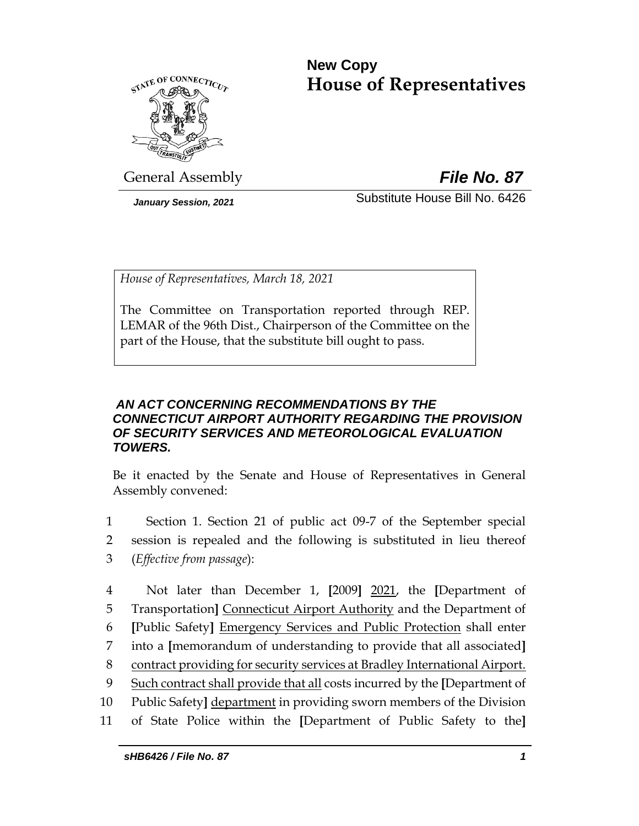# **New Copy House of Representatives**



General Assembly *File No. 87*

*January Session, 2021* Substitute House Bill No. 6426

*House of Representatives, March 18, 2021*

The Committee on Transportation reported through REP. LEMAR of the 96th Dist., Chairperson of the Committee on the part of the House, that the substitute bill ought to pass.

# *AN ACT CONCERNING RECOMMENDATIONS BY THE CONNECTICUT AIRPORT AUTHORITY REGARDING THE PROVISION OF SECURITY SERVICES AND METEOROLOGICAL EVALUATION TOWERS.*

Be it enacted by the Senate and House of Representatives in General Assembly convened:

1 Section 1. Section 21 of public act 09-7 of the September special 2 session is repealed and the following is substituted in lieu thereof 3 (*Effective from passage*):

 Not later than December 1, **[**2009**]** 2021, the **[**Department of Transportation**]** Connecticut Airport Authority and the Department of **[**Public Safety**]** Emergency Services and Public Protection shall enter into a **[**memorandum of understanding to provide that all associated**]** contract providing for security services at Bradley International Airport. Such contract shall provide that all costs incurred by the **[**Department of Public Safety**]** department in providing sworn members of the Division of State Police within the **[**Department of Public Safety to the**]**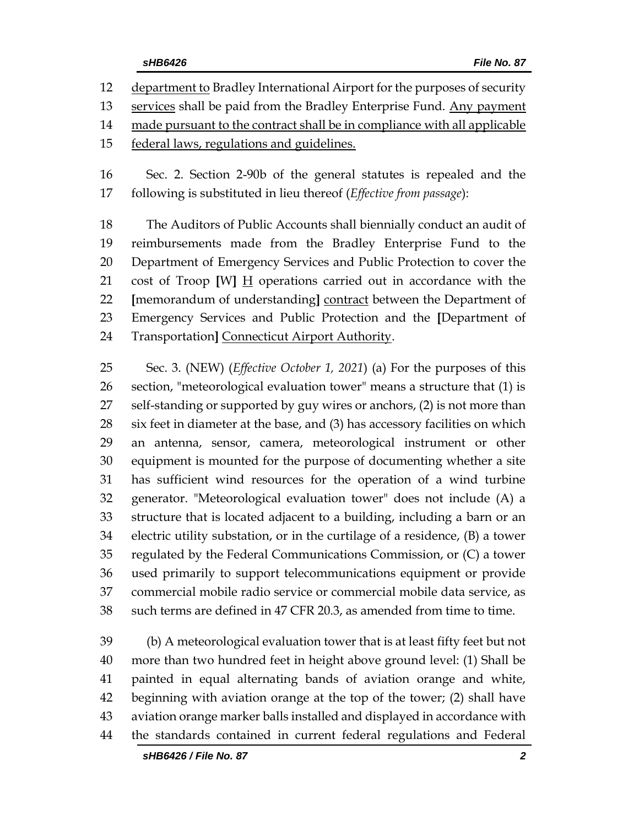department to Bradley International Airport for the purposes of security

services shall be paid from the Bradley Enterprise Fund. Any payment

14 made pursuant to the contract shall be in compliance with all applicable

federal laws, regulations and guidelines.

 Sec. 2. Section 2-90b of the general statutes is repealed and the following is substituted in lieu thereof (*Effective from passage*):

 The Auditors of Public Accounts shall biennially conduct an audit of reimbursements made from the Bradley Enterprise Fund to the Department of Emergency Services and Public Protection to cover the cost of Troop **[**W**]** H operations carried out in accordance with the **[**memorandum of understanding**]** contract between the Department of Emergency Services and Public Protection and the **[**Department of Transportation**]** Connecticut Airport Authority.

 Sec. 3. (NEW) (*Effective October 1, 2021*) (a) For the purposes of this section, "meteorological evaluation tower" means a structure that (1) is self-standing or supported by guy wires or anchors, (2) is not more than six feet in diameter at the base, and (3) has accessory facilities on which an antenna, sensor, camera, meteorological instrument or other equipment is mounted for the purpose of documenting whether a site has sufficient wind resources for the operation of a wind turbine generator. "Meteorological evaluation tower" does not include (A) a structure that is located adjacent to a building, including a barn or an electric utility substation, or in the curtilage of a residence, (B) a tower regulated by the Federal Communications Commission, or (C) a tower used primarily to support telecommunications equipment or provide commercial mobile radio service or commercial mobile data service, as such terms are defined in 47 CFR 20.3, as amended from time to time.

 (b) A meteorological evaluation tower that is at least fifty feet but not more than two hundred feet in height above ground level: (1) Shall be painted in equal alternating bands of aviation orange and white, beginning with aviation orange at the top of the tower; (2) shall have aviation orange marker balls installed and displayed in accordance with the standards contained in current federal regulations and Federal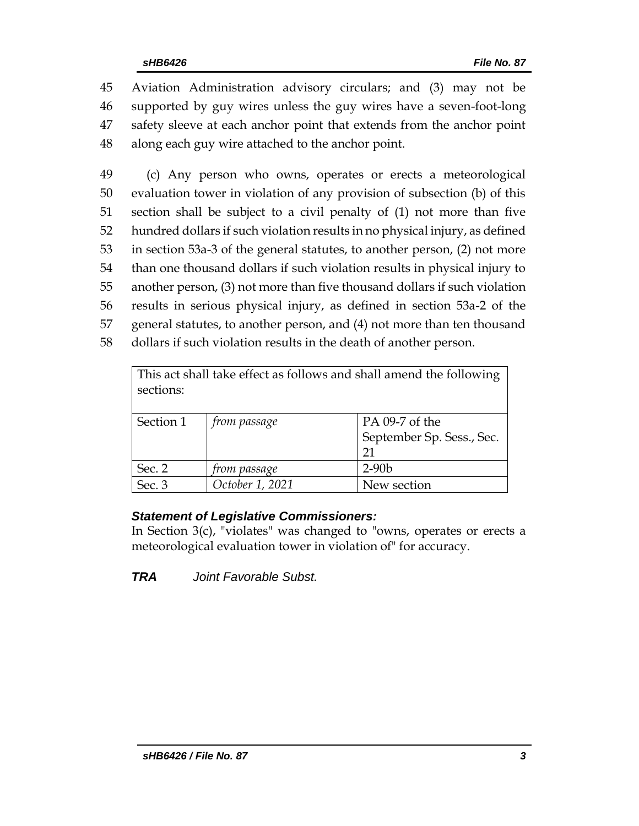Aviation Administration advisory circulars; and (3) may not be supported by guy wires unless the guy wires have a seven-foot-long safety sleeve at each anchor point that extends from the anchor point along each guy wire attached to the anchor point.

 (c) Any person who owns, operates or erects a meteorological evaluation tower in violation of any provision of subsection (b) of this section shall be subject to a civil penalty of (1) not more than five hundred dollars if such violation results in no physical injury, as defined in section 53a-3 of the general statutes, to another person, (2) not more than one thousand dollars if such violation results in physical injury to another person, (3) not more than five thousand dollars if such violation results in serious physical injury, as defined in section 53a-2 of the general statutes, to another person, and (4) not more than ten thousand dollars if such violation results in the death of another person.

| This act shall take effect as follows and shall amend the following<br>sections: |                     |                                                   |  |  |
|----------------------------------------------------------------------------------|---------------------|---------------------------------------------------|--|--|
| Section 1                                                                        | <i>from passage</i> | PA 09-7 of the<br>September Sp. Sess., Sec.<br>21 |  |  |
| Sec. 2                                                                           | from passage        | $2-90b$                                           |  |  |
| Sec. 3                                                                           | October 1, 2021     | New section                                       |  |  |

# *Statement of Legislative Commissioners:*

In Section 3(c), "violates" was changed to "owns, operates or erects a meteorological evaluation tower in violation of" for accuracy.

*TRA Joint Favorable Subst.*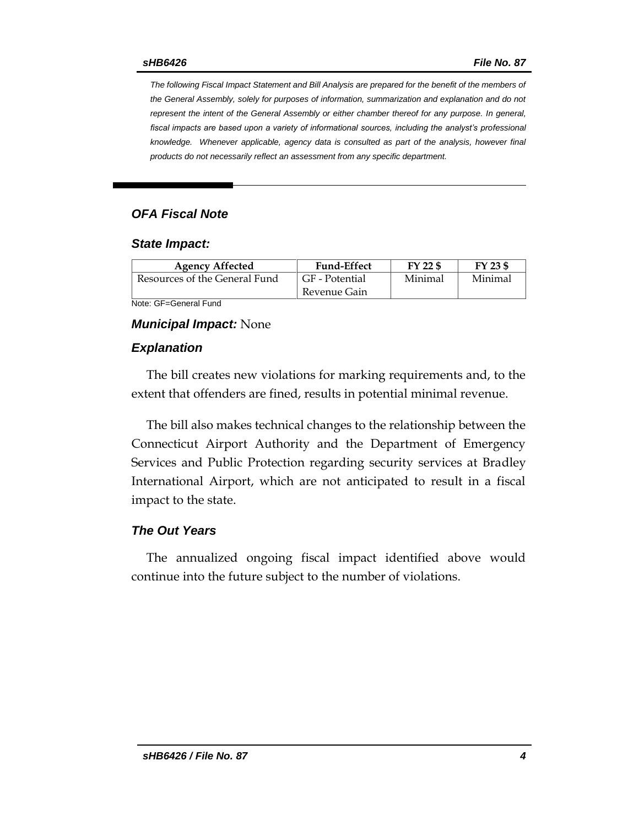*The following Fiscal Impact Statement and Bill Analysis are prepared for the benefit of the members of the General Assembly, solely for purposes of information, summarization and explanation and do not represent the intent of the General Assembly or either chamber thereof for any purpose. In general,*  fiscal impacts are based upon a variety of informational sources, including the analyst's professional *knowledge. Whenever applicable, agency data is consulted as part of the analysis, however final products do not necessarily reflect an assessment from any specific department.*

# *OFA Fiscal Note*

#### *State Impact:*

| <b>Agency Affected</b>        | <b>Fund-Effect</b> | FY 22 \$ | FY 23 \$ |
|-------------------------------|--------------------|----------|----------|
| Resources of the General Fund | GF - Potential     | Minimal  | Minimal  |
|                               | Revenue Gain       |          |          |

Note: GF=General Fund

#### *Municipal Impact:* None

#### *Explanation*

The bill creates new violations for marking requirements and, to the extent that offenders are fined, results in potential minimal revenue.

The bill also makes technical changes to the relationship between the Connecticut Airport Authority and the Department of Emergency Services and Public Protection regarding security services at Bradley International Airport, which are not anticipated to result in a fiscal impact to the state.

### *The Out Years*

The annualized ongoing fiscal impact identified above would continue into the future subject to the number of violations.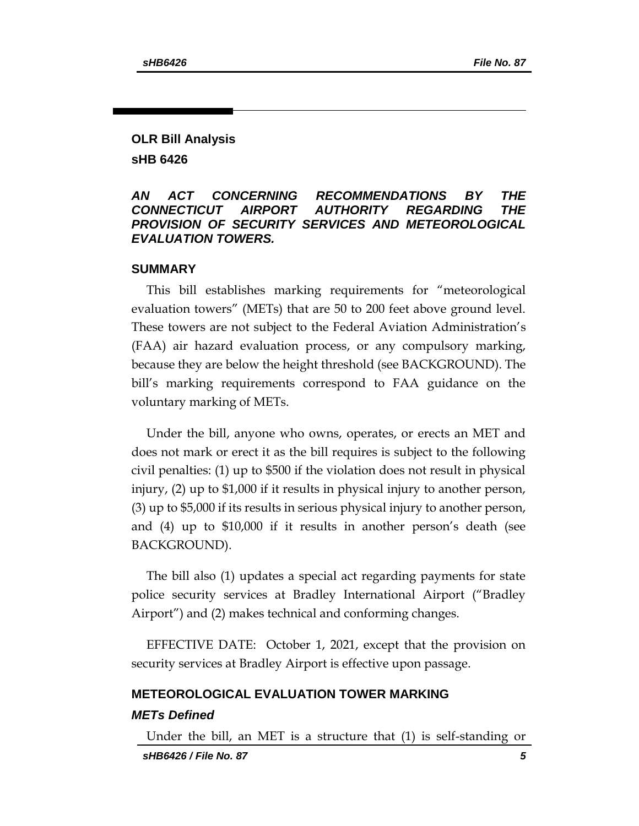# **OLR Bill Analysis sHB 6426**

## *AN ACT CONCERNING RECOMMENDATIONS BY THE CONNECTICUT AIRPORT AUTHORITY REGARDING THE PROVISION OF SECURITY SERVICES AND METEOROLOGICAL EVALUATION TOWERS.*

### **SUMMARY**

This bill establishes marking requirements for "meteorological evaluation towers" (METs) that are 50 to 200 feet above ground level. These towers are not subject to the Federal Aviation Administration's (FAA) air hazard evaluation process, or any compulsory marking, because they are below the height threshold (see BACKGROUND). The bill's marking requirements correspond to FAA guidance on the voluntary marking of METs.

Under the bill, anyone who owns, operates, or erects an MET and does not mark or erect it as the bill requires is subject to the following civil penalties: (1) up to \$500 if the violation does not result in physical injury, (2) up to \$1,000 if it results in physical injury to another person, (3) up to \$5,000 if its results in serious physical injury to another person, and (4) up to \$10,000 if it results in another person's death (see BACKGROUND).

The bill also (1) updates a special act regarding payments for state police security services at Bradley International Airport ("Bradley Airport") and (2) makes technical and conforming changes.

EFFECTIVE DATE: October 1, 2021, except that the provision on security services at Bradley Airport is effective upon passage.

# **METEOROLOGICAL EVALUATION TOWER MARKING** *METs Defined*

*sHB6426 / File No. 87 5* Under the bill, an MET is a structure that (1) is self-standing or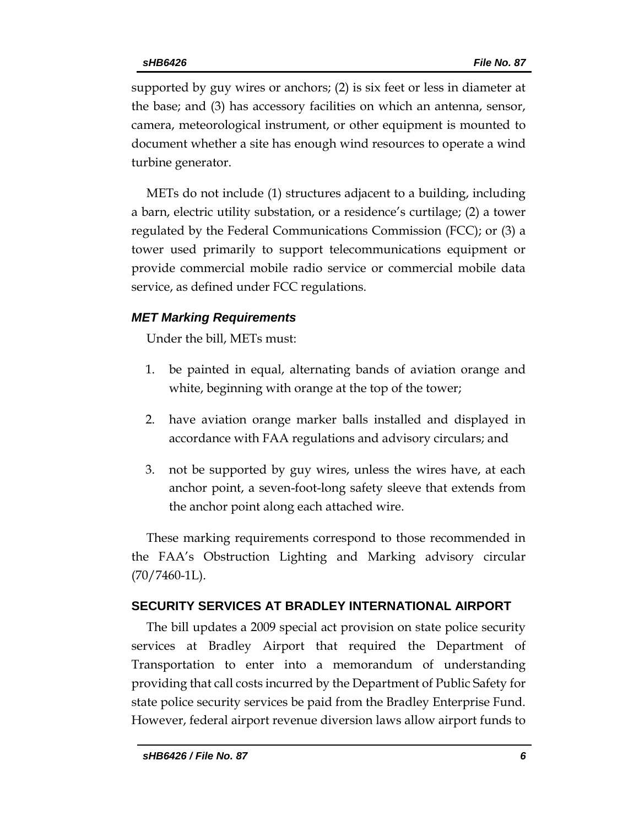supported by guy wires or anchors; (2) is six feet or less in diameter at the base; and (3) has accessory facilities on which an antenna, sensor, camera, meteorological instrument, or other equipment is mounted to document whether a site has enough wind resources to operate a wind turbine generator.

METs do not include (1) structures adjacent to a building, including a barn, electric utility substation, or a residence's curtilage; (2) a tower regulated by the Federal Communications Commission (FCC); or (3) a tower used primarily to support telecommunications equipment or provide commercial mobile radio service or commercial mobile data service, as defined under FCC regulations.

# *MET Marking Requirements*

Under the bill, METs must:

- 1. be painted in equal, alternating bands of aviation orange and white, beginning with orange at the top of the tower;
- 2. have aviation orange marker balls installed and displayed in accordance with FAA regulations and advisory circulars; and
- 3. not be supported by guy wires, unless the wires have, at each anchor point, a seven-foot-long safety sleeve that extends from the anchor point along each attached wire.

These marking requirements correspond to those recommended in the FAA's Obstruction Lighting and Marking advisory circular  $(70/7460-1L)$ .

# **SECURITY SERVICES AT BRADLEY INTERNATIONAL AIRPORT**

The bill updates a 2009 special act provision on state police security services at Bradley Airport that required the Department of Transportation to enter into a memorandum of understanding providing that call costs incurred by the Department of Public Safety for state police security services be paid from the Bradley Enterprise Fund. However, federal airport revenue diversion laws allow airport funds to